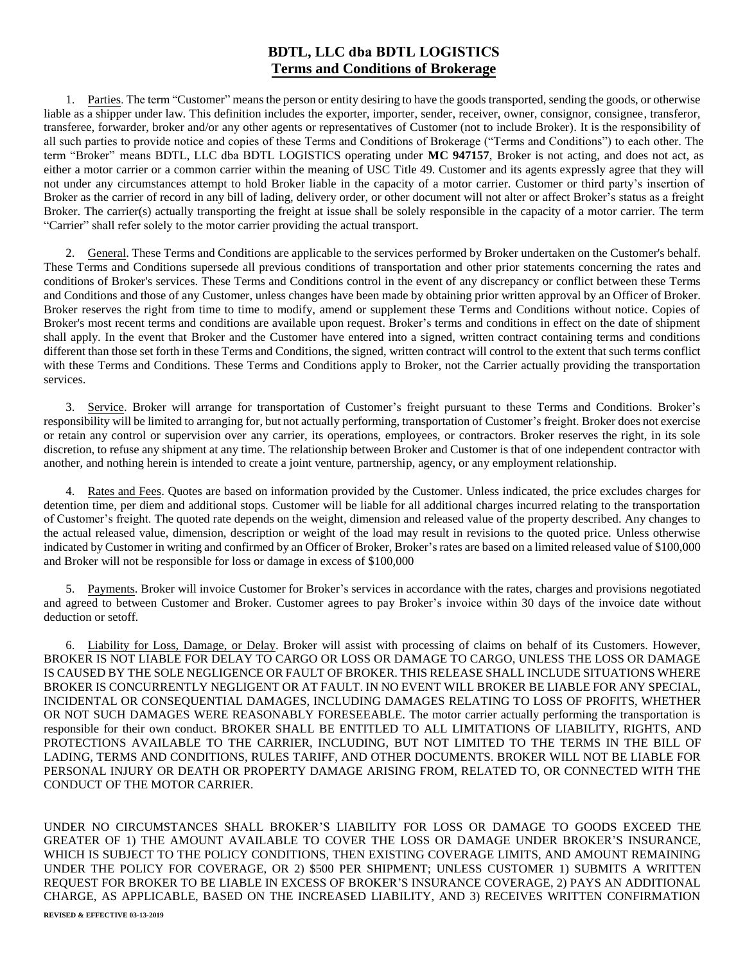## **BDTL, LLC dba BDTL LOGISTICS Terms and Conditions of Brokerage**

1. Parties. The term "Customer" means the person or entity desiring to have the goods transported, sending the goods, or otherwise liable as a shipper under law. This definition includes the exporter, importer, sender, receiver, owner, consignor, consignee, transferor, transferee, forwarder, broker and/or any other agents or representatives of Customer (not to include Broker). It is the responsibility of all such parties to provide notice and copies of these Terms and Conditions of Brokerage ("Terms and Conditions") to each other. The term "Broker" means BDTL, LLC dba BDTL LOGISTICS operating under **MC 947157**, Broker is not acting, and does not act, as either a motor carrier or a common carrier within the meaning of USC Title 49. Customer and its agents expressly agree that they will not under any circumstances attempt to hold Broker liable in the capacity of a motor carrier. Customer or third party's insertion of Broker as the carrier of record in any bill of lading, delivery order, or other document will not alter or affect Broker's status as a freight Broker. The carrier(s) actually transporting the freight at issue shall be solely responsible in the capacity of a motor carrier. The term "Carrier" shall refer solely to the motor carrier providing the actual transport.

2. General. These Terms and Conditions are applicable to the services performed by Broker undertaken on the Customer's behalf. These Terms and Conditions supersede all previous conditions of transportation and other prior statements concerning the rates and conditions of Broker's services. These Terms and Conditions control in the event of any discrepancy or conflict between these Terms and Conditions and those of any Customer, unless changes have been made by obtaining prior written approval by an Officer of Broker. Broker reserves the right from time to time to modify, amend or supplement these Terms and Conditions without notice. Copies of Broker's most recent terms and conditions are available upon request. Broker's terms and conditions in effect on the date of shipment shall apply. In the event that Broker and the Customer have entered into a signed, written contract containing terms and conditions different than those set forth in these Terms and Conditions, the signed, written contract will control to the extent that such terms conflict with these Terms and Conditions. These Terms and Conditions apply to Broker, not the Carrier actually providing the transportation services.

3. Service. Broker will arrange for transportation of Customer's freight pursuant to these Terms and Conditions. Broker's responsibility will be limited to arranging for, but not actually performing, transportation of Customer's freight. Broker does not exercise or retain any control or supervision over any carrier, its operations, employees, or contractors. Broker reserves the right, in its sole discretion, to refuse any shipment at any time. The relationship between Broker and Customer is that of one independent contractor with another, and nothing herein is intended to create a joint venture, partnership, agency, or any employment relationship.

4. Rates and Fees. Quotes are based on information provided by the Customer. Unless indicated, the price excludes charges for detention time, per diem and additional stops. Customer will be liable for all additional charges incurred relating to the transportation of Customer's freight. The quoted rate depends on the weight, dimension and released value of the property described. Any changes to the actual released value, dimension, description or weight of the load may result in revisions to the quoted price. Unless otherwise indicated by Customer in writing and confirmed by an Officer of Broker, Broker's rates are based on a limited released value of \$100,000 and Broker will not be responsible for loss or damage in excess of \$100,000

5. Payments. Broker will invoice Customer for Broker's services in accordance with the rates, charges and provisions negotiated and agreed to between Customer and Broker. Customer agrees to pay Broker's invoice within 30 days of the invoice date without deduction or setoff.

6. Liability for Loss, Damage, or Delay. Broker will assist with processing of claims on behalf of its Customers. However, BROKER IS NOT LIABLE FOR DELAY TO CARGO OR LOSS OR DAMAGE TO CARGO, UNLESS THE LOSS OR DAMAGE IS CAUSED BY THE SOLE NEGLIGENCE OR FAULT OF BROKER. THIS RELEASE SHALL INCLUDE SITUATIONS WHERE BROKER IS CONCURRENTLY NEGLIGENT OR AT FAULT. IN NO EVENT WILL BROKER BE LIABLE FOR ANY SPECIAL, INCIDENTAL OR CONSEQUENTIAL DAMAGES, INCLUDING DAMAGES RELATING TO LOSS OF PROFITS, WHETHER OR NOT SUCH DAMAGES WERE REASONABLY FORESEEABLE. The motor carrier actually performing the transportation is responsible for their own conduct. BROKER SHALL BE ENTITLED TO ALL LIMITATIONS OF LIABILITY, RIGHTS, AND PROTECTIONS AVAILABLE TO THE CARRIER, INCLUDING, BUT NOT LIMITED TO THE TERMS IN THE BILL OF LADING, TERMS AND CONDITIONS, RULES TARIFF, AND OTHER DOCUMENTS. BROKER WILL NOT BE LIABLE FOR PERSONAL INJURY OR DEATH OR PROPERTY DAMAGE ARISING FROM, RELATED TO, OR CONNECTED WITH THE CONDUCT OF THE MOTOR CARRIER.

UNDER NO CIRCUMSTANCES SHALL BROKER'S LIABILITY FOR LOSS OR DAMAGE TO GOODS EXCEED THE GREATER OF 1) THE AMOUNT AVAILABLE TO COVER THE LOSS OR DAMAGE UNDER BROKER'S INSURANCE, WHICH IS SUBJECT TO THE POLICY CONDITIONS, THEN EXISTING COVERAGE LIMITS, AND AMOUNT REMAINING UNDER THE POLICY FOR COVERAGE, OR 2) \$500 PER SHIPMENT; UNLESS CUSTOMER 1) SUBMITS A WRITTEN REQUEST FOR BROKER TO BE LIABLE IN EXCESS OF BROKER'S INSURANCE COVERAGE, 2) PAYS AN ADDITIONAL CHARGE, AS APPLICABLE, BASED ON THE INCREASED LIABILITY, AND 3) RECEIVES WRITTEN CONFIRMATION **REVISED & EFFECTIVE 03-13-2019**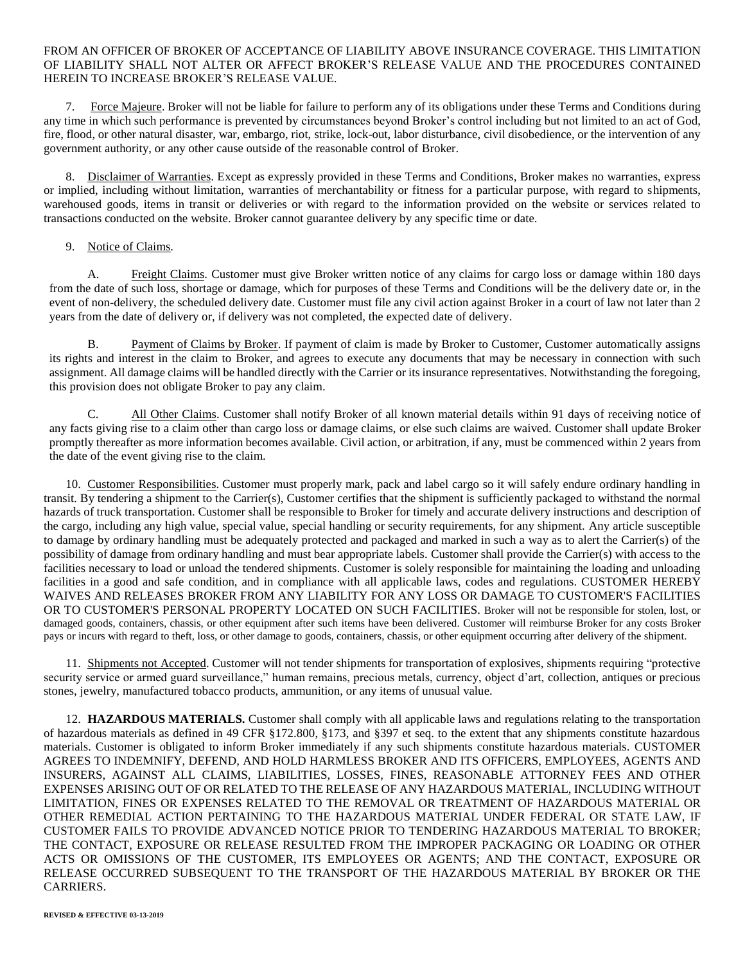## FROM AN OFFICER OF BROKER OF ACCEPTANCE OF LIABILITY ABOVE INSURANCE COVERAGE. THIS LIMITATION OF LIABILITY SHALL NOT ALTER OR AFFECT BROKER'S RELEASE VALUE AND THE PROCEDURES CONTAINED HEREIN TO INCREASE BROKER'S RELEASE VALUE.

7. Force Majeure. Broker will not be liable for failure to perform any of its obligations under these Terms and Conditions during any time in which such performance is prevented by circumstances beyond Broker's control including but not limited to an act of God, fire, flood, or other natural disaster, war, embargo, riot, strike, lock-out, labor disturbance, civil disobedience, or the intervention of any government authority, or any other cause outside of the reasonable control of Broker.

8. Disclaimer of Warranties. Except as expressly provided in these Terms and Conditions, Broker makes no warranties, express or implied, including without limitation, warranties of merchantability or fitness for a particular purpose, with regard to shipments, warehoused goods, items in transit or deliveries or with regard to the information provided on the website or services related to transactions conducted on the website. Broker cannot guarantee delivery by any specific time or date.

## 9. Notice of Claims.

A. Freight Claims. Customer must give Broker written notice of any claims for cargo loss or damage within 180 days from the date of such loss, shortage or damage, which for purposes of these Terms and Conditions will be the delivery date or, in the event of non-delivery, the scheduled delivery date. Customer must file any civil action against Broker in a court of law not later than 2 years from the date of delivery or, if delivery was not completed, the expected date of delivery.

B. Payment of Claims by Broker. If payment of claim is made by Broker to Customer, Customer automatically assigns its rights and interest in the claim to Broker, and agrees to execute any documents that may be necessary in connection with such assignment. All damage claims will be handled directly with the Carrier or its insurance representatives. Notwithstanding the foregoing, this provision does not obligate Broker to pay any claim.

C. All Other Claims. Customer shall notify Broker of all known material details within 91 days of receiving notice of any facts giving rise to a claim other than cargo loss or damage claims, or else such claims are waived. Customer shall update Broker promptly thereafter as more information becomes available. Civil action, or arbitration, if any, must be commenced within 2 years from the date of the event giving rise to the claim.

10. Customer Responsibilities. Customer must properly mark, pack and label cargo so it will safely endure ordinary handling in transit. By tendering a shipment to the Carrier(s), Customer certifies that the shipment is sufficiently packaged to withstand the normal hazards of truck transportation. Customer shall be responsible to Broker for timely and accurate delivery instructions and description of the cargo, including any high value, special value, special handling or security requirements, for any shipment. Any article susceptible to damage by ordinary handling must be adequately protected and packaged and marked in such a way as to alert the Carrier(s) of the possibility of damage from ordinary handling and must bear appropriate labels. Customer shall provide the Carrier(s) with access to the facilities necessary to load or unload the tendered shipments. Customer is solely responsible for maintaining the loading and unloading facilities in a good and safe condition, and in compliance with all applicable laws, codes and regulations. CUSTOMER HEREBY WAIVES AND RELEASES BROKER FROM ANY LIABILITY FOR ANY LOSS OR DAMAGE TO CUSTOMER'S FACILITIES OR TO CUSTOMER'S PERSONAL PROPERTY LOCATED ON SUCH FACILITIES. Broker will not be responsible for stolen, lost, or damaged goods, containers, chassis, or other equipment after such items have been delivered. Customer will reimburse Broker for any costs Broker pays or incurs with regard to theft, loss, or other damage to goods, containers, chassis, or other equipment occurring after delivery of the shipment.

11. Shipments not Accepted. Customer will not tender shipments for transportation of explosives, shipments requiring "protective security service or armed guard surveillance," human remains, precious metals, currency, object d'art, collection, antiques or precious stones, jewelry, manufactured tobacco products, ammunition, or any items of unusual value.

12. **HAZARDOUS MATERIALS.** Customer shall comply with all applicable laws and regulations relating to the transportation of hazardous materials as defined in 49 CFR §172.800, §173, and §397 et seq. to the extent that any shipments constitute hazardous materials. Customer is obligated to inform Broker immediately if any such shipments constitute hazardous materials. CUSTOMER AGREES TO INDEMNIFY, DEFEND, AND HOLD HARMLESS BROKER AND ITS OFFICERS, EMPLOYEES, AGENTS AND INSURERS, AGAINST ALL CLAIMS, LIABILITIES, LOSSES, FINES, REASONABLE ATTORNEY FEES AND OTHER EXPENSES ARISING OUT OF OR RELATED TO THE RELEASE OF ANY HAZARDOUS MATERIAL, INCLUDING WITHOUT LIMITATION, FINES OR EXPENSES RELATED TO THE REMOVAL OR TREATMENT OF HAZARDOUS MATERIAL OR OTHER REMEDIAL ACTION PERTAINING TO THE HAZARDOUS MATERIAL UNDER FEDERAL OR STATE LAW, IF CUSTOMER FAILS TO PROVIDE ADVANCED NOTICE PRIOR TO TENDERING HAZARDOUS MATERIAL TO BROKER; THE CONTACT, EXPOSURE OR RELEASE RESULTED FROM THE IMPROPER PACKAGING OR LOADING OR OTHER ACTS OR OMISSIONS OF THE CUSTOMER, ITS EMPLOYEES OR AGENTS; AND THE CONTACT, EXPOSURE OR RELEASE OCCURRED SUBSEQUENT TO THE TRANSPORT OF THE HAZARDOUS MATERIAL BY BROKER OR THE CARRIERS.